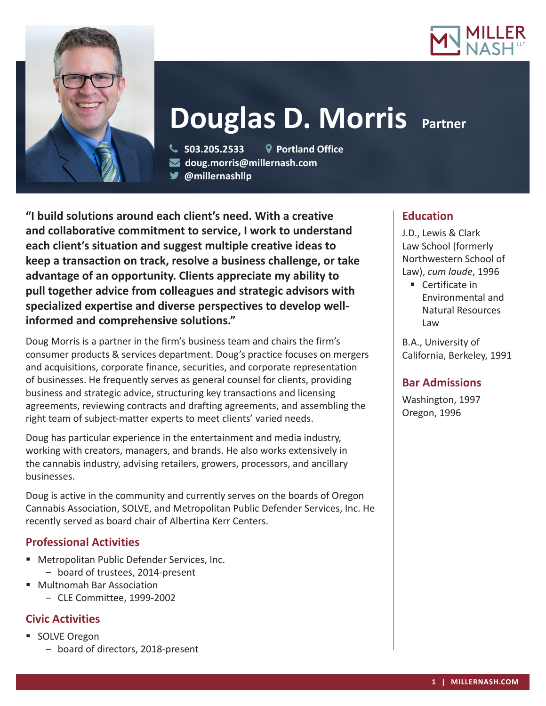



# **Douglas D. Morris Partner**

 **503.205.2533 Portland Office doug.morris@millernash.com @millernashllp** 

**"I build solutions around each client's need. With a creative and collaborative commitment to service, I work to understand each client's situation and suggest multiple creative ideas to keep a transaction on track, resolve a business challenge, or take advantage of an opportunity. Clients appreciate my ability to pull together advice from colleagues and strategic advisors with specialized expertise and diverse perspectives to develop wellinformed and comprehensive solutions."**

Doug Morris is a partner in the firm's business team and chairs the firm's consumer products & services department. Doug's practice focuses on mergers and acquisitions, corporate finance, securities, and corporate representation of businesses. He frequently serves as general counsel for clients, providing business and strategic advice, structuring key transactions and licensing agreements, reviewing contracts and drafting agreements, and assembling the right team of subject-matter experts to meet clients' varied needs.

Doug has particular experience in the entertainment and media industry, working with creators, managers, and brands. He also works extensively in the cannabis industry, advising retailers, growers, processors, and ancillary businesses.

Doug is active in the community and currently serves on the boards of Oregon Cannabis Association, SOLVE, and Metropolitan Public Defender Services, Inc. He recently served as board chair of Albertina Kerr Centers.

# **Professional Activities**

- Metropolitan Public Defender Services, Inc. – board of trustees, 2014-present
- Multnomah Bar Association
	- CLE Committee, 1999-2002

# **Civic Activities**

- SOLVE Oregon
	- board of directors, 2018-present

# **Education**

J.D., Lewis & Clark Law School (formerly Northwestern School of Law), *cum laude*, 1996

■ Certificate in Environmental and Natural Resources Law

B.A., University of California, Berkeley, 1991

# **Bar Admissions**

Washington, 1997 Oregon, 1996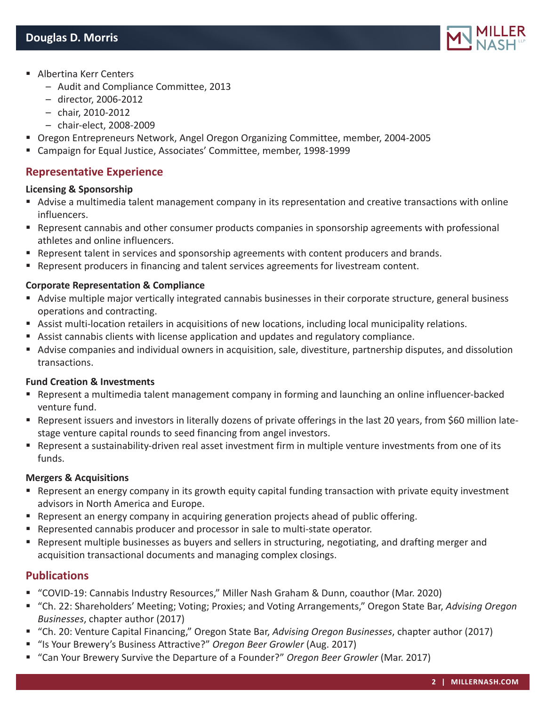

- Albertina Kerr Centers
	- Audit and Compliance Committee, 2013
	- director, 2006-2012
	- chair, 2010-2012
	- chair-elect, 2008-2009
- Oregon Entrepreneurs Network, Angel Oregon Organizing Committee, member, 2004-2005
- Campaign for Equal Justice, Associates' Committee, member, 1998-1999

## **Representative Experience**

#### **Licensing & Sponsorship**

- Advise a multimedia talent management company in its representation and creative transactions with online influencers.
- Represent cannabis and other consumer products companies in sponsorship agreements with professional athletes and online influencers.
- **Represent talent in services and sponsorship agreements with content producers and brands.**
- Represent producers in financing and talent services agreements for livestream content.

#### **Corporate Representation & Compliance**

- Advise multiple major vertically integrated cannabis businesses in their corporate structure, general business operations and contracting.
- Assist multi-location retailers in acquisitions of new locations, including local municipality relations.
- Assist cannabis clients with license application and updates and regulatory compliance.
- Advise companies and individual owners in acquisition, sale, divestiture, partnership disputes, and dissolution transactions.

#### **Fund Creation & Investments**

- Represent a multimedia talent management company in forming and launching an online influencer-backed venture fund.
- Represent issuers and investors in literally dozens of private offerings in the last 20 years, from \$60 million latestage venture capital rounds to seed financing from angel investors.
- Represent a sustainability-driven real asset investment firm in multiple venture investments from one of its funds.

#### **Mergers & Acquisitions**

- Represent an energy company in its growth equity capital funding transaction with private equity investment advisors in North America and Europe.
- **Represent an energy company in acquiring generation projects ahead of public offering.**
- Represented cannabis producer and processor in sale to multi-state operator.
- **•** Represent multiple businesses as buyers and sellers in structuring, negotiating, and drafting merger and acquisition transactional documents and managing complex closings.

## **Publications**

- "COVID-19: Cannabis Industry Resources," Miller Nash Graham & Dunn, coauthor (Mar. 2020)
- "Ch. 22: Shareholders' Meeting; Voting; Proxies; and Voting Arrangements," Oregon State Bar, *Advising Oregon Businesses*, chapter author (2017)
- "Ch. 20: Venture Capital Financing," Oregon State Bar, *Advising Oregon Businesses*, chapter author (2017)
- "Is Your Brewery's Business Attractive?" Oregon Beer Growler (Aug. 2017)
- "Can Your Brewery Survive the Departure of a Founder?" *Oregon Beer Growler* (Mar. 2017)